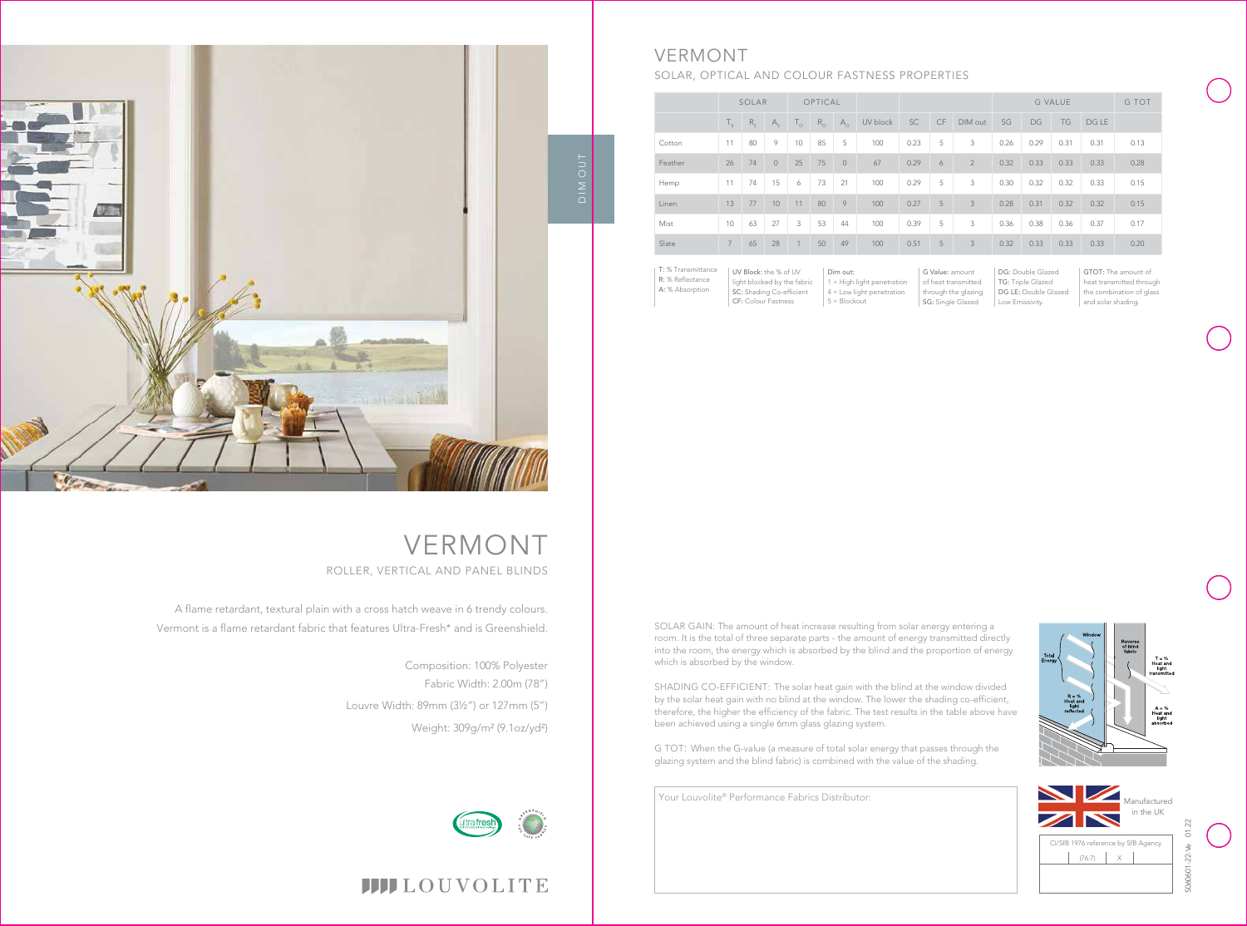

T = %<br>leat and<br>light

Your Louvolite® Performance Fabrics Distributor:

|         | SOLAR                    |         |                | OPTICAL             |             |            |          |           |    |                | <b>G VALUE</b> |           |      |       | <b>G TOT</b> |
|---------|--------------------------|---------|----------------|---------------------|-------------|------------|----------|-----------|----|----------------|----------------|-----------|------|-------|--------------|
|         | $\mathsf{T}_{\varsigma}$ | $R_{c}$ | $A_{c}$        | $\mathsf{I}_{\cap}$ | $R_{\odot}$ | $A_{\cap}$ | UV block | <b>SC</b> | CF | DIM out        | SG             | <b>DG</b> | TG   | DG LE |              |
| Cotton  | 11                       | 80      | 9              | 10                  | 85          | 5          | 100      | 0.23      | 5  | 3              | 0.26           | 0.29      | 0.31 | 0.31  | 0.13         |
| Feather | 26                       | 74      | $\overline{0}$ | 25                  | 75          | $\circ$    | 67       | 0.29      | 6  | $\overline{2}$ | 0.32           | 0.33      | 0.33 | 0.33  | 0.28         |
| Hemp    | 11                       | 74      | 15             | 6                   | 73          | 21         | 100      | 0.29      | 5  | 3              | 0.30           | 0.32      | 0.32 | 0.33  | 0.15         |
| Linen   | 13                       | 77      | 10             | 11                  | 80          | 9          | 100      | 0.27      | 5  | $\mathbf{3}$   | 0.28           | 0.31      | 0.32 | 0.32  | 0.15         |
| Mist    | 10                       | 63      | 27             | 3                   | 53          | 44         | 100      | 0.39      | 5  | 3              | 0.36           | 0.38      | 0.36 | 0.37  | 0.17         |
| Slate   | $7^{\circ}$              | 65      | 28             | 1                   | 50          | 49         | 100      | 0.51      | 5  | 3              | 0.32           | 0.33      | 0.33 | 0.33  | 0.20         |

G Value: amount of heat transmitted through the glazing SG: Single Glazed

DG: Double Glazed TG: Triple Glazed DG LE: Double Glazed Low Emissivity.

| T: % Transmittance | UV Block: the % of UV       | Dim out:                     |
|--------------------|-----------------------------|------------------------------|
| R: % Reflectance   | light blocked by the fabric | $1 =$ High light penetration |
| A: % Absorption    | SC: Shading Co-efficient    | $4 =$ Low light penetration  |
|                    | <b>CF: Colour Fastness</b>  | $5 = Blockout$               |

GTOT: The amount of heat transmitted through the combination of glass and solar shading.



# VERMONT

# SOLAR, OPTICAL AND COLOUR FASTNESS PROPERTIES

A flame retardant, textural plain with a cross hatch weave in 6 trendy colours. Vermont is a flame retardant fabric that features Ultra-Fresh\* and is Greenshield.

# VERMONT ROLLER, VERTICAL AND PANEL BLINDS

Composition: 100% Polyester Fabric Width: 2.00m (78") Louvre Width: 89mm (3½") or 127mm (5") Weight: 309g/m² (9.1oz/yd²)





SOLAR GAIN: The amount of heat increase resulting from solar energy entering a room. It is the total of three separate parts - the amount of energy transmitted directly into the room, the energy which is absorbed by the blind and the proportion of energy which is absorbed by the window.

SHADING CO-EFFICIENT: The solar heat gain with the blind at the window divided by the solar heat gain with no blind at the window. The lower the shading co-efficient, therefore, the higher the efficiency of the fabric. The test results in the table above have been achieved using a single 6mm glass glazing system.

G TOT: When the G-value (a measure of total solar energy that passes through the glazing system and the blind fabric) is combined with the value of the shading.



# **IIII**LOUVOLITE